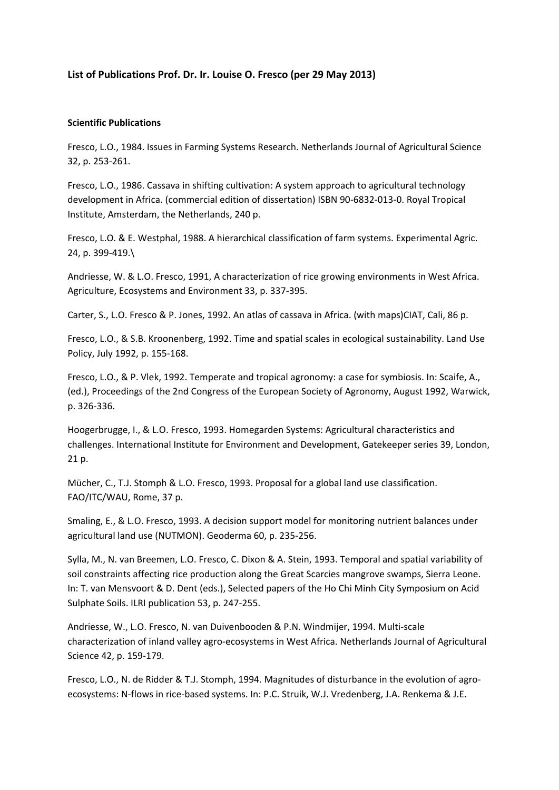# **List of Publications Prof. Dr. Ir. Louise O. Fresco (per 29 May 2013)**

### **Scientific Publications**

Fresco, L.O., 1984. Issues in Farming Systems Research. Netherlands Journal of Agricultural Science 32, p. 253-261.

Fresco, L.O., 1986. Cassava in shifting cultivation: A system approach to agricultural technology development in Africa. (commercial edition of dissertation) ISBN 90-6832-013-0. Royal Tropical Institute, Amsterdam, the Netherlands, 240 p.

Fresco, L.O. & E. Westphal, 1988. A hierarchical classification of farm systems. Experimental Agric. 24, p. 399-419.\

Andriesse, W. & L.O. Fresco, 1991, A characterization of rice growing environments in West Africa. Agriculture, Ecosystems and Environment 33, p. 337-395.

Carter, S., L.O. Fresco & P. Jones, 1992. An atlas of cassava in Africa. (with maps)CIAT, Cali, 86 p.

Fresco, L.O., & S.B. Kroonenberg, 1992. Time and spatial scales in ecological sustainability. Land Use Policy, July 1992, p. 155-168.

Fresco, L.O., & P. Vlek, 1992. Temperate and tropical agronomy: a case for symbiosis. In: Scaife, A., (ed.), Proceedings of the 2nd Congress of the European Society of Agronomy, August 1992, Warwick, p. 326-336.

Hoogerbrugge, I., & L.O. Fresco, 1993. Homegarden Systems: Agricultural characteristics and challenges. International Institute for Environment and Development, Gatekeeper series 39, London, 21 p.

Mücher, C., T.J. Stomph & L.O. Fresco, 1993. Proposal for a global land use classification. FAO/ITC/WAU, Rome, 37 p.

Smaling, E., & L.O. Fresco, 1993. A decision support model for monitoring nutrient balances under agricultural land use (NUTMON). Geoderma 60, p. 235-256.

Sylla, M., N. van Breemen, L.O. Fresco, C. Dixon & A. Stein, 1993. Temporal and spatial variability of soil constraints affecting rice production along the Great Scarcies mangrove swamps, Sierra Leone. In: T. van Mensvoort & D. Dent (eds.), Selected papers of the Ho Chi Minh City Symposium on Acid Sulphate Soils. ILRI publication 53, p. 247-255.

Andriesse, W., L.O. Fresco, N. van Duivenbooden & P.N. Windmijer, 1994. Multi-scale characterization of inland valley agro-ecosystems in West Africa. Netherlands Journal of Agricultural Science 42, p. 159-179.

Fresco, L.O., N. de Ridder & T.J. Stomph, 1994. Magnitudes of disturbance in the evolution of agroecosystems: N-flows in rice-based systems. In: P.C. Struik, W.J. Vredenberg, J.A. Renkema & J.E.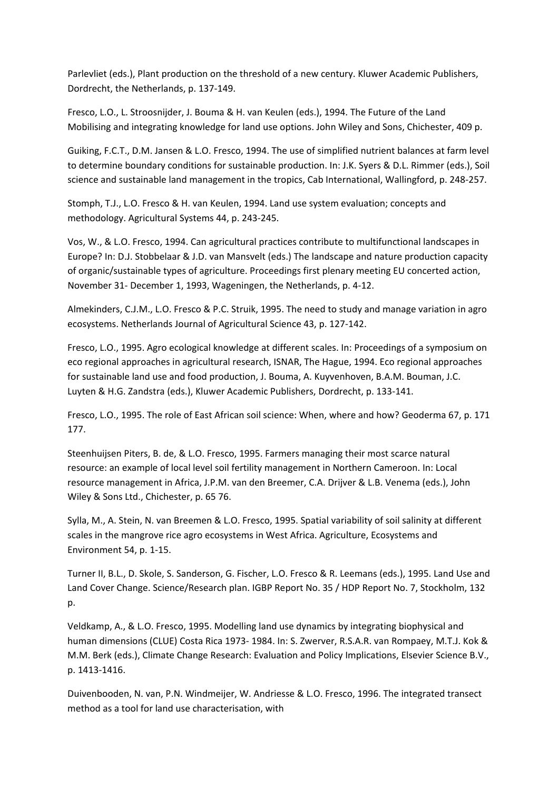Parlevliet (eds.), Plant production on the threshold of a new century. Kluwer Academic Publishers, Dordrecht, the Netherlands, p. 137-149.

Fresco, L.O., L. Stroosnijder, J. Bouma & H. van Keulen (eds.), 1994. The Future of the Land Mobilising and integrating knowledge for land use options. John Wiley and Sons, Chichester, 409 p.

Guiking, F.C.T., D.M. Jansen & L.O. Fresco, 1994. The use of simplified nutrient balances at farm level to determine boundary conditions for sustainable production. In: J.K. Syers & D.L. Rimmer (eds.), Soil science and sustainable land management in the tropics, Cab International, Wallingford, p. 248-257.

Stomph, T.J., L.O. Fresco & H. van Keulen, 1994. Land use system evaluation; concepts and methodology. Agricultural Systems 44, p. 243-245.

Vos, W., & L.O. Fresco, 1994. Can agricultural practices contribute to multifunctional landscapes in Europe? In: D.J. Stobbelaar & J.D. van Mansvelt (eds.) The landscape and nature production capacity of organic/sustainable types of agriculture. Proceedings first plenary meeting EU concerted action, November 31- December 1, 1993, Wageningen, the Netherlands, p. 4-12.

Almekinders, C.J.M., L.O. Fresco & P.C. Struik, 1995. The need to study and manage variation in agro ecosystems. Netherlands Journal of Agricultural Science 43, p. 127-142.

Fresco, L.O., 1995. Agro ecological knowledge at different scales. In: Proceedings of a symposium on eco regional approaches in agricultural research, ISNAR, The Hague, 1994. Eco regional approaches for sustainable land use and food production, J. Bouma, A. Kuyvenhoven, B.A.M. Bouman, J.C. Luyten & H.G. Zandstra (eds.), Kluwer Academic Publishers, Dordrecht, p. 133-141.

Fresco, L.O., 1995. The role of East African soil science: When, where and how? Geoderma 67, p. 171 177.

Steenhuijsen Piters, B. de, & L.O. Fresco, 1995. Farmers managing their most scarce natural resource: an example of local level soil fertility management in Northern Cameroon. In: Local resource management in Africa, J.P.M. van den Breemer, C.A. Drijver & L.B. Venema (eds.), John Wiley & Sons Ltd., Chichester, p. 65 76.

Sylla, M., A. Stein, N. van Breemen & L.O. Fresco, 1995. Spatial variability of soil salinity at different scales in the mangrove rice agro ecosystems in West Africa. Agriculture, Ecosystems and Environment 54, p. 1-15.

Turner II, B.L., D. Skole, S. Sanderson, G. Fischer, L.O. Fresco & R. Leemans (eds.), 1995. Land Use and Land Cover Change. Science/Research plan. IGBP Report No. 35 / HDP Report No. 7, Stockholm, 132 p.

Veldkamp, A., & L.O. Fresco, 1995. Modelling land use dynamics by integrating biophysical and human dimensions (CLUE) Costa Rica 1973- 1984. In: S. Zwerver, R.S.A.R. van Rompaey, M.T.J. Kok & M.M. Berk (eds.), Climate Change Research: Evaluation and Policy Implications, Elsevier Science B.V., p. 1413-1416.

Duivenbooden, N. van, P.N. Windmeijer, W. Andriesse & L.O. Fresco, 1996. The integrated transect method as a tool for land use characterisation, with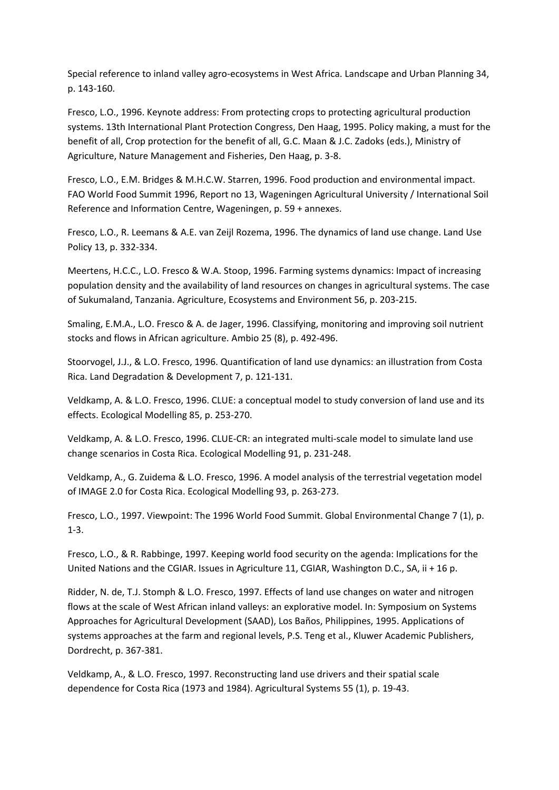Special reference to inland valley agro-ecosystems in West Africa. Landscape and Urban Planning 34, p. 143-160.

Fresco, L.O., 1996. Keynote address: From protecting crops to protecting agricultural production systems. 13th International Plant Protection Congress, Den Haag, 1995. Policy making, a must for the benefit of all, Crop protection for the benefit of all, G.C. Maan & J.C. Zadoks (eds.), Ministry of Agriculture, Nature Management and Fisheries, Den Haag, p. 3-8.

Fresco, L.O., E.M. Bridges & M.H.C.W. Starren, 1996. Food production and environmental impact. FAO World Food Summit 1996, Report no 13, Wageningen Agricultural University / International Soil Reference and Information Centre, Wageningen, p. 59 + annexes.

Fresco, L.O., R. Leemans & A.E. van Zeijl Rozema, 1996. The dynamics of land use change. Land Use Policy 13, p. 332-334.

Meertens, H.C.C., L.O. Fresco & W.A. Stoop, 1996. Farming systems dynamics: Impact of increasing population density and the availability of land resources on changes in agricultural systems. The case of Sukumaland, Tanzania. Agriculture, Ecosystems and Environment 56, p. 203-215.

Smaling, E.M.A., L.O. Fresco & A. de Jager, 1996. Classifying, monitoring and improving soil nutrient stocks and flows in African agriculture. Ambio 25 (8), p. 492-496.

Stoorvogel, J.J., & L.O. Fresco, 1996. Quantification of land use dynamics: an illustration from Costa Rica. Land Degradation & Development 7, p. 121-131.

Veldkamp, A. & L.O. Fresco, 1996. CLUE: a conceptual model to study conversion of land use and its effects. Ecological Modelling 85, p. 253-270.

Veldkamp, A. & L.O. Fresco, 1996. CLUE-CR: an integrated multi-scale model to simulate land use change scenarios in Costa Rica. Ecological Modelling 91, p. 231-248.

Veldkamp, A., G. Zuidema & L.O. Fresco, 1996. A model analysis of the terrestrial vegetation model of IMAGE 2.0 for Costa Rica. Ecological Modelling 93, p. 263-273.

Fresco, L.O., 1997. Viewpoint: The 1996 World Food Summit. Global Environmental Change 7 (1), p. 1-3.

Fresco, L.O., & R. Rabbinge, 1997. Keeping world food security on the agenda: Implications for the United Nations and the CGIAR. Issues in Agriculture 11, CGIAR, Washington D.C., SA, ii + 16 p.

Ridder, N. de, T.J. Stomph & L.O. Fresco, 1997. Effects of land use changes on water and nitrogen flows at the scale of West African inland valleys: an explorative model. In: Symposium on Systems Approaches for Agricultural Development (SAAD), Los Baños, Philippines, 1995. Applications of systems approaches at the farm and regional levels, P.S. Teng et al., Kluwer Academic Publishers, Dordrecht, p. 367-381.

Veldkamp, A., & L.O. Fresco, 1997. Reconstructing land use drivers and their spatial scale dependence for Costa Rica (1973 and 1984). Agricultural Systems 55 (1), p. 19-43.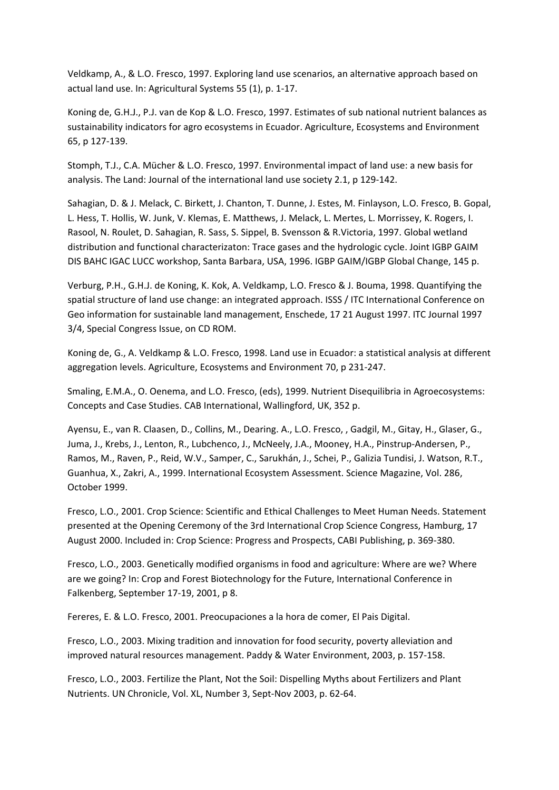Veldkamp, A., & L.O. Fresco, 1997. Exploring land use scenarios, an alternative approach based on actual land use. In: Agricultural Systems 55 (1), p. 1-17.

Koning de, G.H.J., P.J. van de Kop & L.O. Fresco, 1997. Estimates of sub national nutrient balances as sustainability indicators for agro ecosystems in Ecuador. Agriculture, Ecosystems and Environment 65, p 127-139.

Stomph, T.J., C.A. Mücher & L.O. Fresco, 1997. Environmental impact of land use: a new basis for analysis. The Land: Journal of the international land use society 2.1, p 129-142.

Sahagian, D. & J. Melack, C. Birkett, J. Chanton, T. Dunne, J. Estes, M. Finlayson, L.O. Fresco, B. Gopal, L. Hess, T. Hollis, W. Junk, V. Klemas, E. Matthews, J. Melack, L. Mertes, L. Morrissey, K. Rogers, I. Rasool, N. Roulet, D. Sahagian, R. Sass, S. Sippel, B. Svensson & R.Victoria, 1997. Global wetland distribution and functional characterizaton: Trace gases and the hydrologic cycle. Joint IGBP GAIM DIS BAHC IGAC LUCC workshop, Santa Barbara, USA, 1996. IGBP GAIM/IGBP Global Change, 145 p.

Verburg, P.H., G.H.J. de Koning, K. Kok, A. Veldkamp, L.O. Fresco & J. Bouma, 1998. Quantifying the spatial structure of land use change: an integrated approach. ISSS / ITC International Conference on Geo information for sustainable land management, Enschede, 17 21 August 1997. ITC Journal 1997 3/4, Special Congress Issue, on CD ROM.

Koning de, G., A. Veldkamp & L.O. Fresco, 1998. Land use in Ecuador: a statistical analysis at different aggregation levels. Agriculture, Ecosystems and Environment 70, p 231-247.

Smaling, E.M.A., O. Oenema, and L.O. Fresco, (eds), 1999. Nutrient Disequilibria in Agroecosystems: Concepts and Case Studies. CAB International, Wallingford, UK, 352 p.

Ayensu, E., van R. Claasen, D., Collins, M., Dearing. A., L.O. Fresco, , Gadgil, M., Gitay, H., Glaser, G., Juma, J., Krebs, J., Lenton, R., Lubchenco, J., McNeely, J.A., Mooney, H.A., Pinstrup-Andersen, P., Ramos, M., Raven, P., Reid, W.V., Samper, C., Sarukhán, J., Schei, P., Galizia Tundisi, J. Watson, R.T., Guanhua, X., Zakri, A., 1999. International Ecosystem Assessment. Science Magazine, Vol. 286, October 1999.

Fresco, L.O., 2001. Crop Science: Scientific and Ethical Challenges to Meet Human Needs. Statement presented at the Opening Ceremony of the 3rd International Crop Science Congress, Hamburg, 17 August 2000. Included in: Crop Science: Progress and Prospects, CABI Publishing, p. 369-380.

Fresco, L.O., 2003. Genetically modified organisms in food and agriculture: Where are we? Where are we going? In: Crop and Forest Biotechnology for the Future, International Conference in Falkenberg, September 17-19, 2001, p 8.

Fereres, E. & L.O. Fresco, 2001. Preocupaciones a la hora de comer, El Pais Digital.

Fresco, L.O., 2003. Mixing tradition and innovation for food security, poverty alleviation and improved natural resources management. Paddy & Water Environment, 2003, p. 157-158.

Fresco, L.O., 2003. Fertilize the Plant, Not the Soil: Dispelling Myths about Fertilizers and Plant Nutrients. UN Chronicle, Vol. XL, Number 3, Sept-Nov 2003, p. 62-64.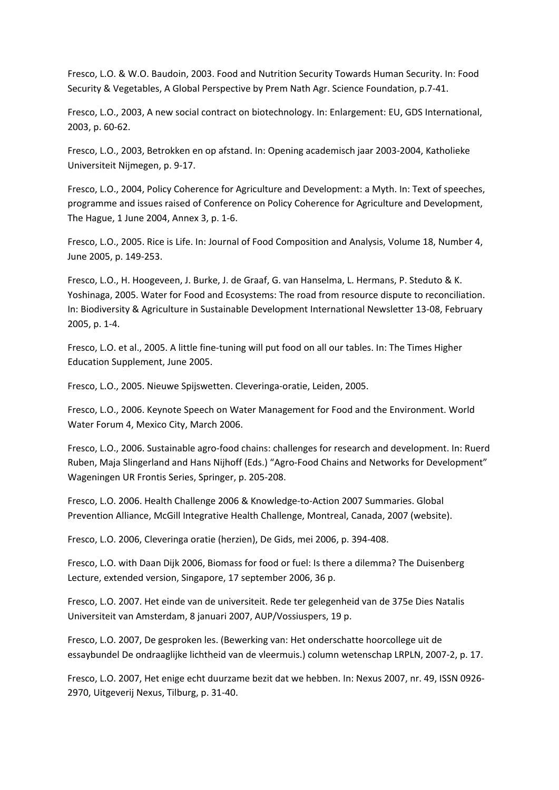Fresco, L.O. & W.O. Baudoin, 2003. Food and Nutrition Security Towards Human Security. In: Food Security & Vegetables, A Global Perspective by Prem Nath Agr. Science Foundation, p.7-41.

Fresco, L.O., 2003, A new social contract on biotechnology. In: Enlargement: EU, GDS International, 2003, p. 60-62.

Fresco, L.O., 2003, Betrokken en op afstand. In: Opening academisch jaar 2003-2004, Katholieke Universiteit Nijmegen, p. 9-17.

Fresco, L.O., 2004, Policy Coherence for Agriculture and Development: a Myth. In: Text of speeches, programme and issues raised of Conference on Policy Coherence for Agriculture and Development, The Hague, 1 June 2004, Annex 3, p. 1-6.

Fresco, L.O., 2005. Rice is Life. In: Journal of Food Composition and Analysis, Volume 18, Number 4, June 2005, p. 149-253.

Fresco, L.O., H. Hoogeveen, J. Burke, J. de Graaf, G. van Hanselma, L. Hermans, P. Steduto & K. Yoshinaga, 2005. Water for Food and Ecosystems: The road from resource dispute to reconciliation. In: Biodiversity & Agriculture in Sustainable Development International Newsletter 13-08, February 2005, p. 1-4.

Fresco, L.O. et al., 2005. A little fine-tuning will put food on all our tables. In: The Times Higher Education Supplement, June 2005.

Fresco, L.O., 2005. Nieuwe Spijswetten. Cleveringa-oratie, Leiden, 2005.

Fresco, L.O., 2006. Keynote Speech on Water Management for Food and the Environment. World Water Forum 4, Mexico City, March 2006.

Fresco, L.O., 2006. Sustainable agro-food chains: challenges for research and development. In: Ruerd Ruben, Maja Slingerland and Hans Nijhoff (Eds.) "Agro-Food Chains and Networks for Development" Wageningen UR Frontis Series, Springer, p. 205-208.

Fresco, L.O. 2006. Health Challenge 2006 & Knowledge-to-Action 2007 Summaries. Global Prevention Alliance, McGill Integrative Health Challenge, Montreal, Canada, 2007 (website).

Fresco, L.O. 2006, Cleveringa oratie (herzien), De Gids, mei 2006, p. 394-408.

Fresco, L.O. with Daan Dijk 2006, Biomass for food or fuel: Is there a dilemma? The Duisenberg Lecture, extended version, Singapore, 17 september 2006, 36 p.

Fresco, L.O. 2007. Het einde van de universiteit. Rede ter gelegenheid van de 375e Dies Natalis Universiteit van Amsterdam, 8 januari 2007, AUP/Vossiuspers, 19 p.

Fresco, L.O. 2007, De gesproken les. (Bewerking van: Het onderschatte hoorcollege uit de essaybundel De ondraaglijke lichtheid van de vleermuis.) column wetenschap LRPLN, 2007-2, p. 17.

Fresco, L.O. 2007, Het enige echt duurzame bezit dat we hebben. In: Nexus 2007, nr. 49, ISSN 0926- 2970, Uitgeverij Nexus, Tilburg, p. 31-40.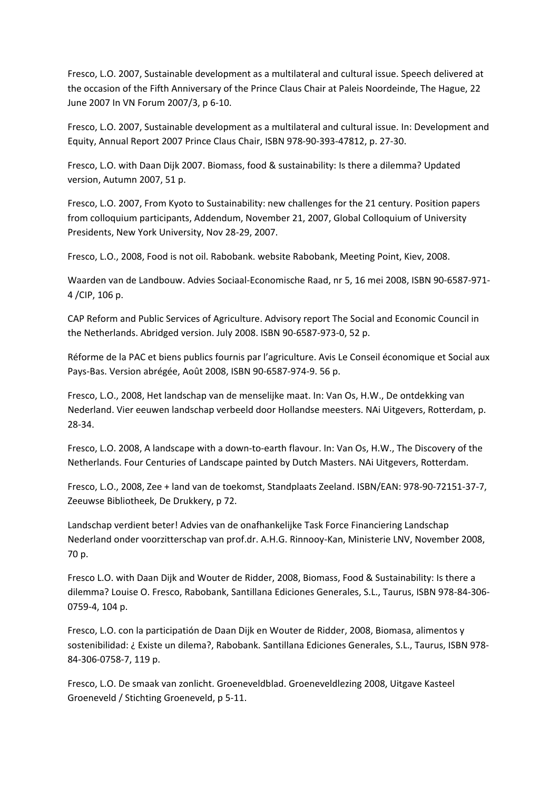Fresco, L.O. 2007, Sustainable development as a multilateral and cultural issue. Speech delivered at the occasion of the Fifth Anniversary of the Prince Claus Chair at Paleis Noordeinde, The Hague, 22 June 2007 In VN Forum 2007/3, p 6-10.

Fresco, L.O. 2007, Sustainable development as a multilateral and cultural issue. In: Development and Equity, Annual Report 2007 Prince Claus Chair, ISBN 978-90-393-47812, p. 27-30.

Fresco, L.O. with Daan Dijk 2007. Biomass, food & sustainability: Is there a dilemma? Updated version, Autumn 2007, 51 p.

Fresco, L.O. 2007, From Kyoto to Sustainability: new challenges for the 21 century. Position papers from colloquium participants, Addendum, November 21, 2007, Global Colloquium of University Presidents, New York University, Nov 28-29, 2007.

Fresco, L.O., 2008, Food is not oil. Rabobank. website Rabobank, Meeting Point, Kiev, 2008.

Waarden van de Landbouw. Advies Sociaal-Economische Raad, nr 5, 16 mei 2008, ISBN 90-6587-971- 4 /CIP, 106 p.

CAP Reform and Public Services of Agriculture. Advisory report The Social and Economic Council in the Netherlands. Abridged version. July 2008. ISBN 90-6587-973-0, 52 p.

Réforme de la PAC et biens publics fournis par l'agriculture. Avis Le Conseil économique et Social aux Pays-Bas. Version abrégée, Août 2008, ISBN 90-6587-974-9. 56 p.

Fresco, L.O., 2008, Het landschap van de menselijke maat. In: Van Os, H.W., De ontdekking van Nederland. Vier eeuwen landschap verbeeld door Hollandse meesters. NAi Uitgevers, Rotterdam, p. 28-34.

Fresco, L.O. 2008, A landscape with a down-to-earth flavour. In: Van Os, H.W., The Discovery of the Netherlands. Four Centuries of Landscape painted by Dutch Masters. NAi Uitgevers, Rotterdam.

Fresco, L.O., 2008, Zee + land van de toekomst, Standplaats Zeeland. ISBN/EAN: 978-90-72151-37-7, Zeeuwse Bibliotheek, De Drukkery, p 72.

Landschap verdient beter! Advies van de onafhankelijke Task Force Financiering Landschap Nederland onder voorzitterschap van prof.dr. A.H.G. Rinnooy-Kan, Ministerie LNV, November 2008, 70 p.

Fresco L.O. with Daan Dijk and Wouter de Ridder, 2008, Biomass, Food & Sustainability: Is there a dilemma? Louise O. Fresco, Rabobank, Santillana Ediciones Generales, S.L., Taurus, ISBN 978-84-306- 0759-4, 104 p.

Fresco, L.O. con la participatión de Daan Dijk en Wouter de Ridder, 2008, Biomasa, alimentos y sostenibilidad: ¿ Existe un dilema?, Rabobank. Santillana Ediciones Generales, S.L., Taurus, ISBN 978- 84-306-0758-7, 119 p.

Fresco, L.O. De smaak van zonlicht. Groeneveldblad. Groeneveldlezing 2008, Uitgave Kasteel Groeneveld / Stichting Groeneveld, p 5-11.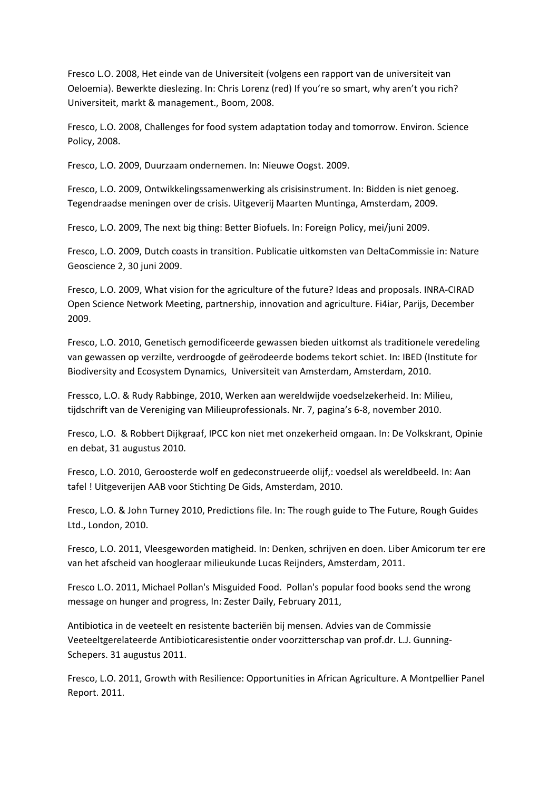Fresco L.O. 2008, Het einde van de Universiteit (volgens een rapport van de universiteit van Oeloemia). Bewerkte dieslezing. In: Chris Lorenz (red) If you're so smart, why aren't you rich? Universiteit, markt & management., Boom, 2008.

Fresco, L.O. 2008, Challenges for food system adaptation today and tomorrow. Environ. Science Policy, 2008.

Fresco, L.O. 2009, Duurzaam ondernemen. In: Nieuwe Oogst. 2009.

Fresco, L.O. 2009, Ontwikkelingssamenwerking als crisisinstrument. In: Bidden is niet genoeg. Tegendraadse meningen over de crisis. Uitgeverij Maarten Muntinga, Amsterdam, 2009.

Fresco, L.O. 2009, The next big thing: Better Biofuels. In: Foreign Policy, mei/juni 2009.

Fresco, L.O. 2009, Dutch coasts in transition. Publicatie uitkomsten van DeltaCommissie in: Nature Geoscience 2, 30 juni 2009.

Fresco, L.O. 2009, What vision for the agriculture of the future? Ideas and proposals. INRA-CIRAD Open Science Network Meeting, partnership, innovation and agriculture. Fi4iar, Parijs, December 2009.

Fresco, L.O. 2010, Genetisch gemodificeerde gewassen bieden uitkomst als traditionele veredeling van gewassen op verzilte, verdroogde of geërodeerde bodems tekort schiet. In: IBED (Institute for Biodiversity and Ecosystem Dynamics, Universiteit van Amsterdam, Amsterdam, 2010.

Fressco, L.O. & Rudy Rabbinge, 2010, Werken aan wereldwijde voedselzekerheid. In: Milieu, tijdschrift van de Vereniging van Milieuprofessionals. Nr. 7, pagina's 6-8, november 2010.

Fresco, L.O. & Robbert Dijkgraaf, IPCC kon niet met onzekerheid omgaan. In: De Volkskrant, Opinie en debat, 31 augustus 2010.

Fresco, L.O. 2010, Geroosterde wolf en gedeconstrueerde olijf,: voedsel als wereldbeeld. In: Aan tafel ! Uitgeverijen AAB voor Stichting De Gids, Amsterdam, 2010.

Fresco, L.O. & John Turney 2010, Predictions file. In: The rough guide to The Future, Rough Guides Ltd., London, 2010.

Fresco, L.O. 2011, Vleesgeworden matigheid. In: Denken, schrijven en doen. Liber Amicorum ter ere van het afscheid van hoogleraar milieukunde Lucas Reijnders, Amsterdam, 2011.

Fresco L.O. 2011, Michael Pollan's Misguided Food. Pollan's popular food books send the wrong message on hunger and progress, In: Zester Daily, February 2011,

Antibiotica in de veeteelt en resistente bacteriën bij mensen. Advies van de Commissie Veeteeltgerelateerde Antibioticaresistentie onder voorzitterschap van prof.dr. L.J. Gunning-Schepers. 31 augustus 2011.

Fresco, L.O. 2011, Growth with Resilience: Opportunities in African Agriculture. A Montpellier Panel Report. 2011.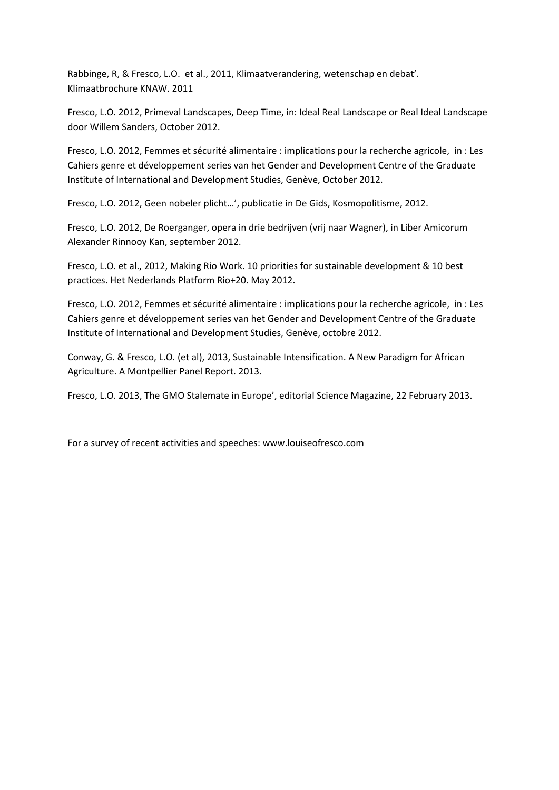Rabbinge, R, & Fresco, L.O. et al., 2011, Klimaatverandering, wetenschap en debat'. Klimaatbrochure KNAW. 2011

Fresco, L.O. 2012, Primeval Landscapes, Deep Time, in: Ideal Real Landscape or Real Ideal Landscape door Willem Sanders, October 2012.

Fresco, L.O. 2012, Femmes et sécurité alimentaire : implications pour la recherche agricole, in : Les Cahiers genre et développement series van het Gender and Development Centre of the Graduate Institute of International and Development Studies, Genève, October 2012.

Fresco, L.O. 2012, Geen nobeler plicht…', publicatie in De Gids, Kosmopolitisme, 2012.

Fresco, L.O. 2012, De Roerganger, opera in drie bedrijven (vrij naar Wagner), in Liber Amicorum Alexander Rinnooy Kan, september 2012.

Fresco, L.O. et al., 2012, Making Rio Work. 10 priorities for sustainable development & 10 best practices. Het Nederlands Platform Rio+20. May 2012.

Fresco, L.O. 2012, Femmes et sécurité alimentaire : implications pour la recherche agricole, in : Les Cahiers genre et développement series van het Gender and Development Centre of the Graduate Institute of International and Development Studies, Genève, octobre 2012.

Conway, G. & Fresco, L.O. (et al), 2013, Sustainable Intensification. A New Paradigm for African Agriculture. A Montpellier Panel Report. 2013.

Fresco, L.O. 2013, The GMO Stalemate in Europe', editorial Science Magazine, 22 February 2013.

For a survey of recent activities and speeches: www.louiseofresco.com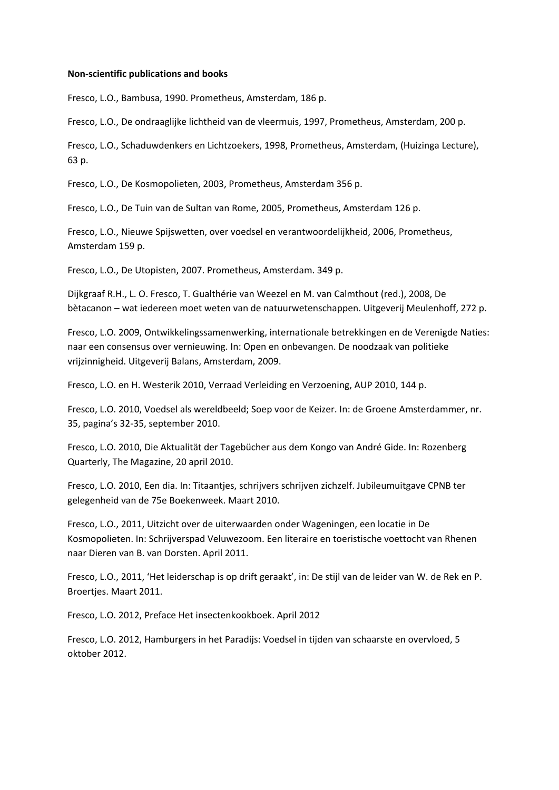#### **Non-scientific publications and books**

Fresco, L.O., Bambusa, 1990. Prometheus, Amsterdam, 186 p.

Fresco, L.O., De ondraaglijke lichtheid van de vleermuis, 1997, Prometheus, Amsterdam, 200 p.

Fresco, L.O., Schaduwdenkers en Lichtzoekers, 1998, Prometheus, Amsterdam, (Huizinga Lecture), 63 p.

Fresco, L.O., De Kosmopolieten, 2003, Prometheus, Amsterdam 356 p.

Fresco, L.O., De Tuin van de Sultan van Rome, 2005, Prometheus, Amsterdam 126 p.

Fresco, L.O., Nieuwe Spijswetten, over voedsel en verantwoordelijkheid, 2006, Prometheus, Amsterdam 159 p.

Fresco, L.O., De Utopisten, 2007. Prometheus, Amsterdam. 349 p.

Dijkgraaf R.H., L. O. Fresco, T. Gualthérie van Weezel en M. van Calmthout (red.), 2008, De bètacanon – wat iedereen moet weten van de natuurwetenschappen. Uitgeverij Meulenhoff, 272 p.

Fresco, L.O. 2009, Ontwikkelingssamenwerking, internationale betrekkingen en de Verenigde Naties: naar een consensus over vernieuwing. In: Open en onbevangen. De noodzaak van politieke vrijzinnigheid. Uitgeverij Balans, Amsterdam, 2009.

Fresco, L.O. en H. Westerik 2010, Verraad Verleiding en Verzoening, AUP 2010, 144 p.

Fresco, L.O. 2010, Voedsel als wereldbeeld; Soep voor de Keizer. In: de Groene Amsterdammer, nr. 35, pagina's 32-35, september 2010.

Fresco, L.O. 2010, Die Aktualität der Tagebücher aus dem Kongo van André Gide. In: Rozenberg Quarterly, The Magazine, 20 april 2010.

Fresco, L.O. 2010, Een dia. In: Titaantjes, schrijvers schrijven zichzelf. Jubileumuitgave CPNB ter gelegenheid van de 75e Boekenweek. Maart 2010.

Fresco, L.O., 2011, Uitzicht over de uiterwaarden onder Wageningen, een locatie in De Kosmopolieten. In: Schrijverspad Veluwezoom. Een literaire en toeristische voettocht van Rhenen naar Dieren van B. van Dorsten. April 2011.

Fresco, L.O., 2011, 'Het leiderschap is op drift geraakt', in: De stijl van de leider van W. de Rek en P. Broertjes. Maart 2011.

Fresco, L.O. 2012, Preface Het insectenkookboek. April 2012

Fresco, L.O. 2012, Hamburgers in het Paradijs: Voedsel in tijden van schaarste en overvloed, 5 oktober 2012.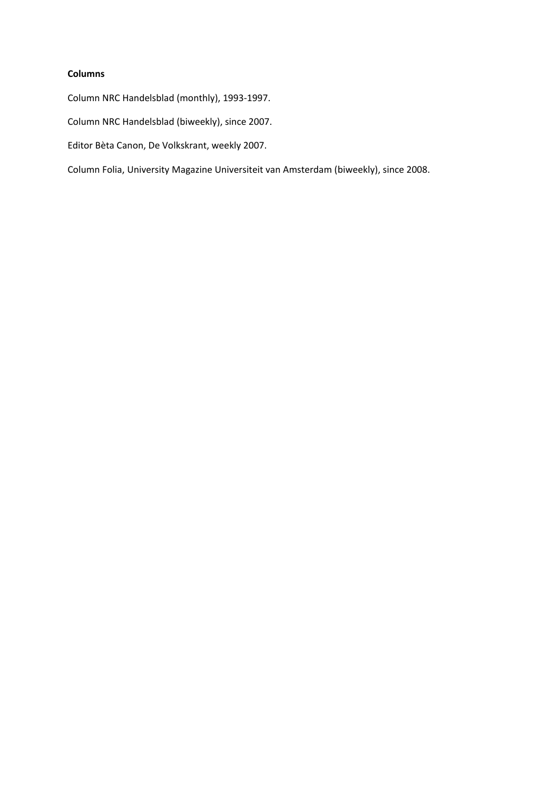## **Columns**

Column NRC Handelsblad (monthly), 1993-1997.

Column NRC Handelsblad (biweekly), since 2007.

Editor Bèta Canon, De Volkskrant, weekly 2007.

Column Folia, University Magazine Universiteit van Amsterdam (biweekly), since 2008.